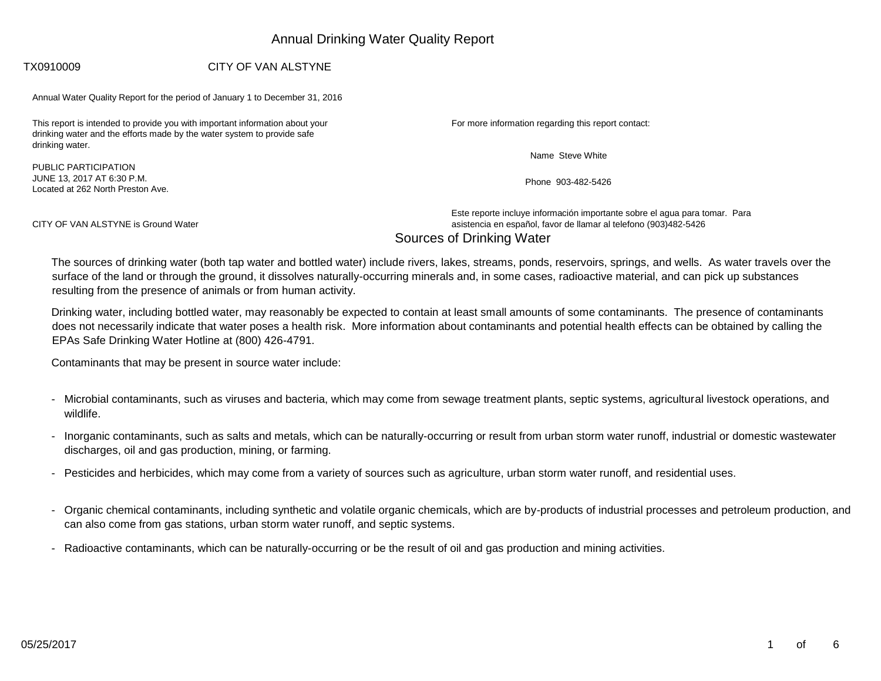# Annual Drinking Water Quality Report

### TX0910009 CITY OF VAN ALSTYNE

Annual Water Quality Report for the period of January 1 to December 31, 2016

This report is intended to provide you with important information about your drinking water and the efforts made by the water system to provide safe drinking water.

PUBLIC PARTICIPATION JUNE 13, 2017 AT 6:30 P.M. Located at 262 North Preston Ave. For more information regarding this report contact:

Name Steve White

Phone 903-482-5426

Este reporte incluye información importante sobre el agua para tomar. Para CITY OF VAN ALSTYNE is Ground Water asistencia en español, favor de llamar al telefono (903)482-5426 Sources of Drinking Water

The sources of drinking water (both tap water and bottled water) include rivers, lakes, streams, ponds, reservoirs, springs, and wells. As water travels over the surface of the land or through the ground, it dissolves naturally-occurring minerals and, in some cases, radioactive material, and can pick up substances resulting from the presence of animals or from human activity.

Drinking water, including bottled water, may reasonably be expected to contain at least small amounts of some contaminants. The presence of contaminants does not necessarily indicate that water poses a health risk. More information about contaminants and potential health effects can be obtained by calling the EPAs Safe Drinking Water Hotline at (800) 426-4791.

Contaminants that may be present in source water include:

- Microbial contaminants, such as viruses and bacteria, which may come from sewage treatment plants, septic systems, agricultural livestock operations, and wildlife.
- Inorganic contaminants, such as salts and metals, which can be naturally-occurring or result from urban storm water runoff, industrial or domestic wastewater discharges, oil and gas production, mining, or farming.
- Pesticides and herbicides, which may come from a variety of sources such as agriculture, urban storm water runoff, and residential uses.
- Organic chemical contaminants, including synthetic and volatile organic chemicals, which are by-products of industrial processes and petroleum production, and can also come from gas stations, urban storm water runoff, and septic systems.
- Radioactive contaminants, which can be naturally-occurring or be the result of oil and gas production and mining activities.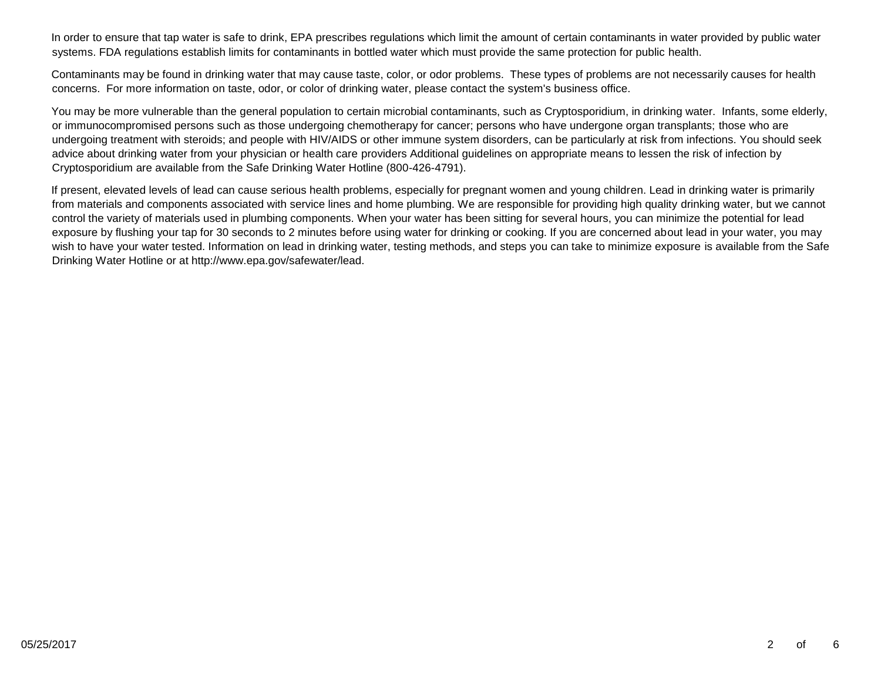In order to ensure that tap water is safe to drink, EPA prescribes regulations which limit the amount of certain contaminants in water provided by public water systems. FDA regulations establish limits for contaminants in bottled water which must provide the same protection for public health.

Contaminants may be found in drinking water that may cause taste, color, or odor problems. These types of problems are not necessarily causes for health concerns. For more information on taste, odor, or color of drinking water, please contact the system's business office.

You may be more vulnerable than the general population to certain microbial contaminants, such as Cryptosporidium, in drinking water. Infants, some elderly, or immunocompromised persons such as those undergoing chemotherapy for cancer; persons who have undergone organ transplants; those who are undergoing treatment with steroids; and people with HIV/AIDS or other immune system disorders, can be particularly at risk from infections. You should seek advice about drinking water from your physician or health care providers Additional guidelines on appropriate means to lessen the risk of infection by Cryptosporidium are available from the Safe Drinking Water Hotline (800-426-4791).

If present, elevated levels of lead can cause serious health problems, especially for pregnant women and young children. Lead in drinking water is primarily from materials and components associated with service lines and home plumbing. We are responsible for providing high quality drinking water, but we cannot control the variety of materials used in plumbing components. When your water has been sitting for several hours, you can minimize the potential for lead exposure by flushing your tap for 30 seconds to 2 minutes before using water for drinking or cooking. If you are concerned about lead in your water, you may wish to have your water tested. Information on lead in drinking water, testing methods, and steps you can take to minimize exposure is available from the Safe Drinking Water Hotline or at http://www.epa.gov/safewater/lead.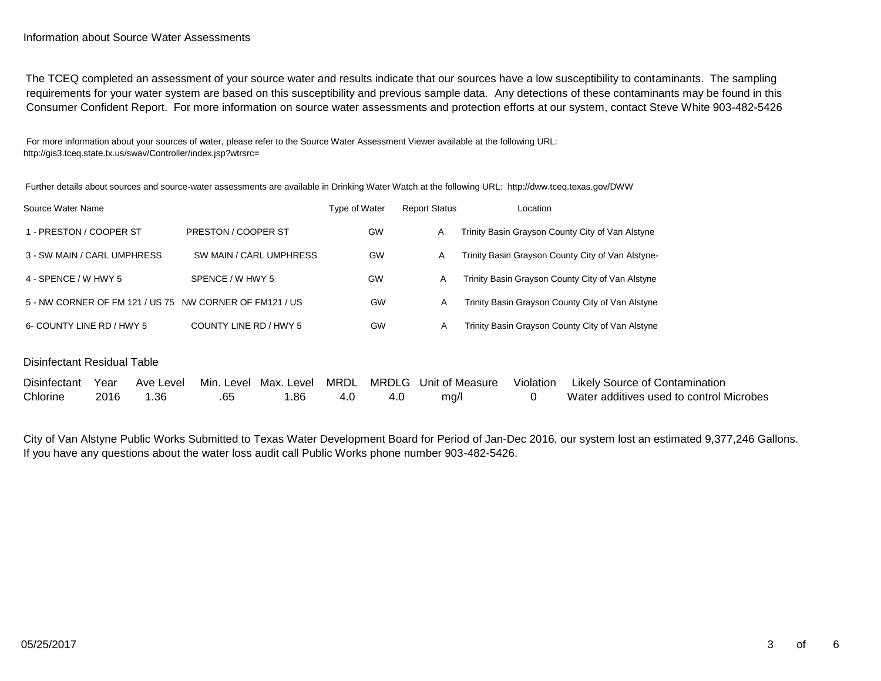#### Information about Source Water Assessments

The TCEQ completed an assessment of your source water and results indicate that our sources have a low susceptibility to contaminants. The sampling requirements for your water system are based on this susceptibility and previous sample data. Any detections of these contaminants may be found in this Consumer Confident Report. For more information on source water assessments and protection efforts at our system, contact Steve White 903-482-5426

For more information about your sources of water, please refer to the Source Water Assessment Viewer available at the following URL: http://gis3.tceq.state.tx.us/swav/Controller/index.jsp?wtrsrc=

Further details about sources and source-water assessments are available in Drinking Water Watch at the following URL: http://dww.tceq.texas.gov/DWW

| Source Water Name                                       |                         | Type of Water | <b>Report Status</b> | Location                                          |
|---------------------------------------------------------|-------------------------|---------------|----------------------|---------------------------------------------------|
| 1 - PRESTON / COOPER ST                                 | PRESTON / COOPER ST     | <b>GW</b>     | A                    | Trinity Basin Grayson County City of Van Alstyne  |
| 3 - SW MAIN / CARL UMPHRESS                             | SW MAIN / CARL UMPHRESS | <b>GW</b>     | A                    | Trinity Basin Grayson County City of Van Alstyne- |
| 4 - SPENCE / W HWY 5                                    | SPENCE / W HWY 5        | GW            | A                    | Trinity Basin Grayson County City of Van Alstyne  |
| 5 - NW CORNER OF FM 121 / US 75 NW CORNER OF FM121 / US |                         | GW            | A                    | Trinity Basin Grayson County City of Van Alstyne  |
| 6- COUNTY LINE RD / HWY 5                               | COUNTY LINE RD / HWY 5  | <b>GW</b>     | A                    | Trinity Basin Grayson County City of Van Alstyne  |

#### Disinfectant Residual Table

|          |      |      |     |  |      | Disinfectant Year Ave Level Min. Level Max. Level MRDL MRDLG Unit of Measure Violation Likely Source of Contamination |
|----------|------|------|-----|--|------|-----------------------------------------------------------------------------------------------------------------------|
| Chlorine | 2016 | 1.36 | .86 |  | ma/l | Water additives used to control Microbes                                                                              |

City of Van Alstyne Public Works Submitted to Texas Water Development Board for Period of Jan-Dec 2016, our system lost an estimated 9,377,246 Gallons. If you have any questions about the water loss audit call Public Works phone number 903-482-5426.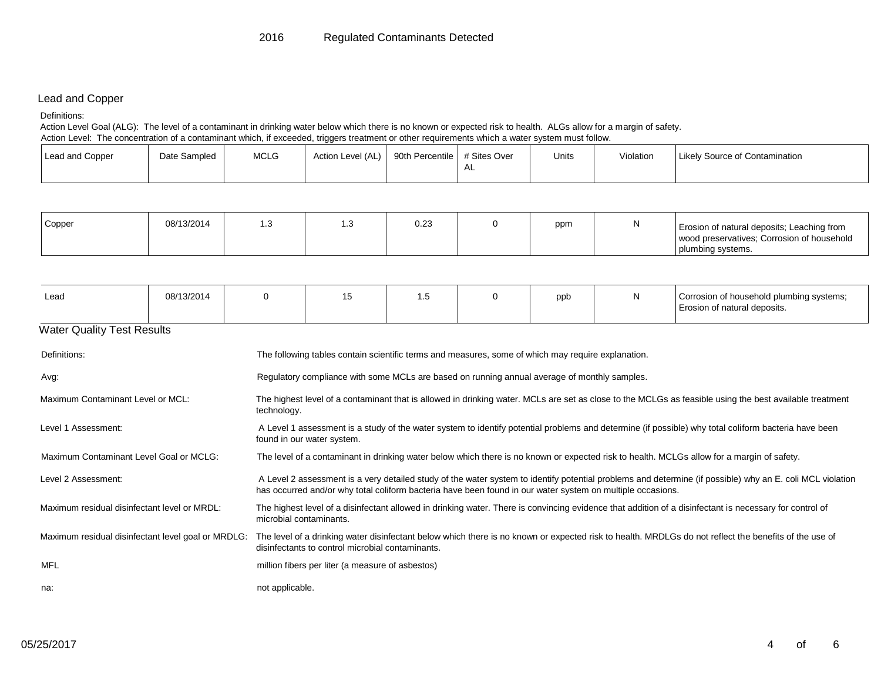## Lead and Copper

#### Definitions:

Action Level Goal (ALG): The level of a contaminant in drinking water below which there is no known or expected risk to health. ALGs allow for a margin of safety.

Action Level: The concentration of a contaminant which, if exceeded, triggers treatment or other requirements which a water system must follow.

| <b>Lead and Copper</b> | Date Sampled | <b>MCLG</b> | Action Level (AL) | 90th Percentile # Sites Over |      | Units | Violation | Likely Source of Contamination |
|------------------------|--------------|-------------|-------------------|------------------------------|------|-------|-----------|--------------------------------|
|                        |              |             |                   |                              | . AL |       |           |                                |

| Copper | 08/13/2014 | ں. ا | ت | 0.23 | ppm | Erosion of natural deposits; Leaching from |
|--------|------------|------|---|------|-----|--------------------------------------------|
|        |            |      |   |      |     | wood preservatives: Corrosion of household |
|        |            |      |   |      |     | plumbing systems.                          |

| Lead                              | 08/13/2014 |  | ◡ | . . ب |  | ppb | N | Corrosion of household plumbing systems;<br>Erosion of natural deposits. |  |
|-----------------------------------|------------|--|---|-------|--|-----|---|--------------------------------------------------------------------------|--|
| <b>Water Quality Test Results</b> |            |  |   |       |  |     |   |                                                                          |  |

| Definitions:                                       | The following tables contain scientific terms and measures, some of which may require explanation.                                                                                                                                                                      |
|----------------------------------------------------|-------------------------------------------------------------------------------------------------------------------------------------------------------------------------------------------------------------------------------------------------------------------------|
| Avg:                                               | Regulatory compliance with some MCLs are based on running annual average of monthly samples.                                                                                                                                                                            |
| Maximum Contaminant Level or MCL:                  | The highest level of a contaminant that is allowed in drinking water. MCLs are set as close to the MCLGs as feasible using the best available treatment<br>technology.                                                                                                  |
| Level 1 Assessment:                                | A Level 1 assessment is a study of the water system to identify potential problems and determine (if possible) why total coliform bacteria have been<br>found in our water system.                                                                                      |
| Maximum Contaminant Level Goal or MCLG:            | The level of a contaminant in drinking water below which there is no known or expected risk to health. MCLGs allow for a margin of safety.                                                                                                                              |
| Level 2 Assessment:                                | A Level 2 assessment is a very detailed study of the water system to identify potential problems and determine (if possible) why an E. coli MCL violation<br>has occurred and/or why total coliform bacteria have been found in our water system on multiple occasions. |
| Maximum residual disinfectant level or MRDL:       | The highest level of a disinfectant allowed in drinking water. There is convincing evidence that addition of a disinfectant is necessary for control of<br>microbial contaminants.                                                                                      |
| Maximum residual disinfectant level goal or MRDLG: | The level of a drinking water disinfectant below which there is no known or expected risk to health. MRDLGs do not reflect the benefits of the use of<br>disinfectants to control microbial contaminants.                                                               |
| MFL                                                | million fibers per liter (a measure of asbestos)                                                                                                                                                                                                                        |
| na:                                                | not applicable.                                                                                                                                                                                                                                                         |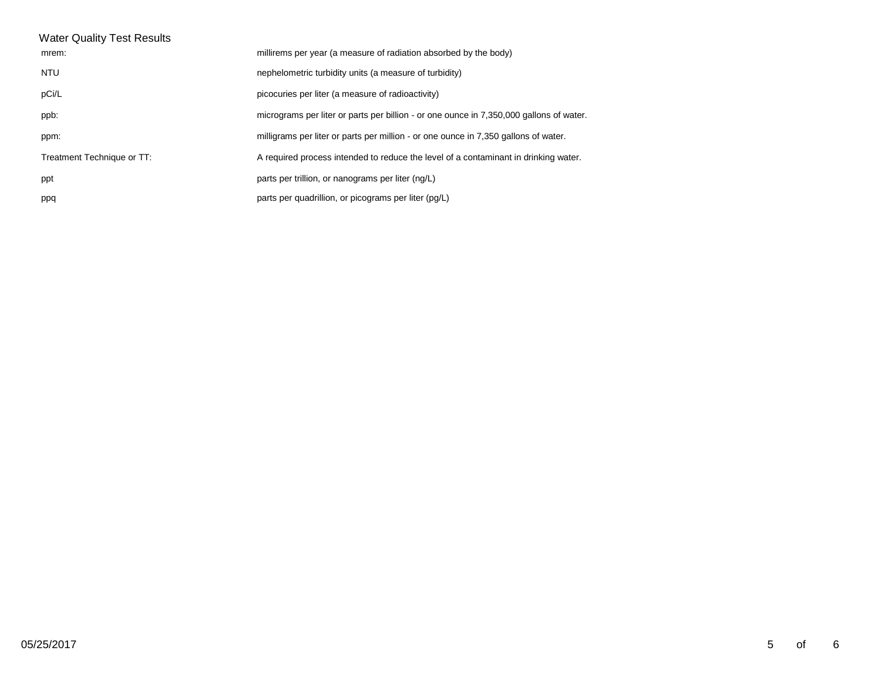| <b>Water Quality Test Results</b> |                                                                                         |
|-----------------------------------|-----------------------------------------------------------------------------------------|
| mrem:                             | millirems per year (a measure of radiation absorbed by the body)                        |
| NTU                               | nephelometric turbidity units (a measure of turbidity)                                  |
| pCi/L                             | picocuries per liter (a measure of radioactivity)                                       |
| ppb:                              | micrograms per liter or parts per billion - or one ounce in 7,350,000 gallons of water. |
| ppm:                              | milligrams per liter or parts per million - or one ounce in 7,350 gallons of water.     |
| Treatment Technique or TT:        | A required process intended to reduce the level of a contaminant in drinking water.     |
| ppt                               | parts per trillion, or nanograms per liter (ng/L)                                       |
| ppq                               | parts per quadrillion, or picograms per liter (pg/L)                                    |